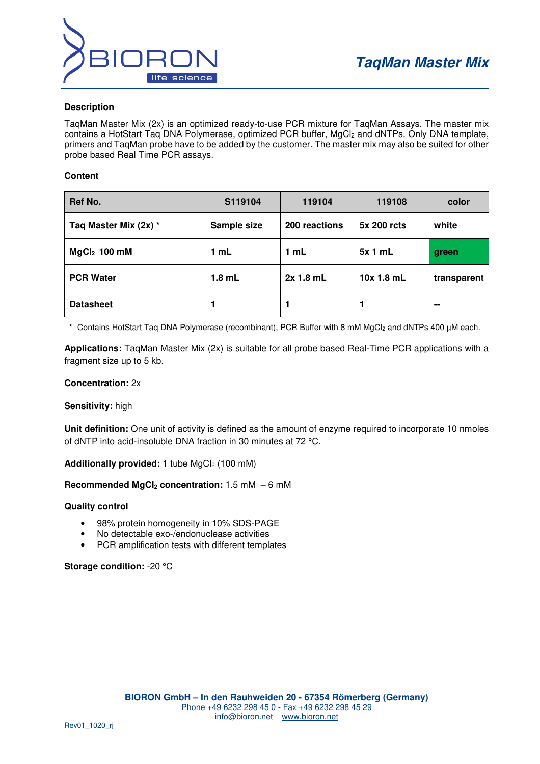

### **Description**

TaqMan Master Mix (2x) is an optimized ready-to-use PCR mixture for TaqMan Assays. The master mix contains a HotStart Taq DNA Polymerase, optimized PCR buffer, MgCl<sub>2</sub> and dNTPs. Only DNA template, primers and TaqMan probe have to be added by the customer. The master mix may also be suited for other probe based Real Time PCR assays.

#### **Content**

| Ref No.               | S119104     | 119104        | 119108      | color       |
|-----------------------|-------------|---------------|-------------|-------------|
| Taq Master Mix (2x) * | Sample size | 200 reactions | 5x 200 rcts | white       |
| $MgCl2$ 100 mM        | 1 mL        | 1 mL          | 5x1mL       | green       |
| <b>PCR Water</b>      | $1.8$ mL    | 2x 1.8 mL     | 10x 1.8 mL  | transparent |
| <b>Datasheet</b>      | 1           |               |             | --          |

\* Contains HotStart Taq DNA Polymerase (recombinant), PCR Buffer with 8 mM MgCl<sub>2</sub> and dNTPs 400 µM each.

**Applications:** TaqMan Master Mix (2x) is suitable for all probe based Real-Time PCR applications with a fragment size up to 5 kb.

## **Concentration:** 2x

#### **Sensitivity:** high

**Unit definition:** One unit of activity is defined as the amount of enzyme required to incorporate 10 nmoles of dNTP into acid-insoluble DNA fraction in 30 minutes at 72 °C.

Additionally provided: 1 tube MgCl<sub>2</sub> (100 mM)

#### **Recommended MgCl2 concentration:** 1.5 mM – 6 mM

#### **Quality control**

- 98% protein homogeneity in 10% SDS-PAGE
- No detectable exo-/endonuclease activities
- PCR amplification tests with different templates

#### **Storage condition:** -20 °C